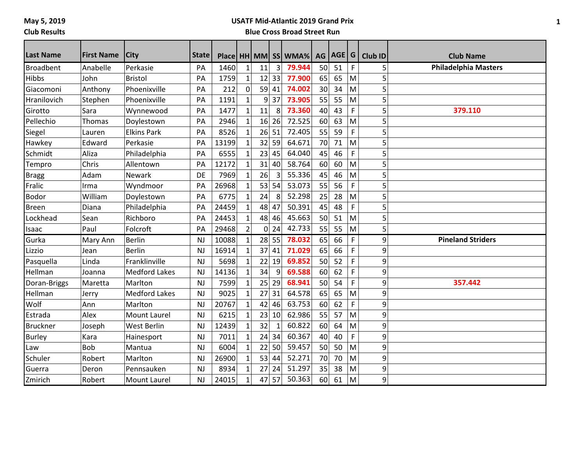# **USATF Mid-Atlantic 2019 Grand Prix**

### **Blue Cross Broad Street Run**

| <b>Last Name</b> | <b>First Name</b> | <b>City</b>          | <b>State</b>   |       |                |    |       | Place   HH   MM   SS   WMA% | AG              | AGE G |    | <b>Club ID</b> | <b>Club Name</b>            |
|------------------|-------------------|----------------------|----------------|-------|----------------|----|-------|-----------------------------|-----------------|-------|----|----------------|-----------------------------|
| Broadbent        | Anabelle          | Perkasie             | PA             | 1460  | $\mathbf{1}$   | 11 | 3     | 79.944                      | 50              | 51    | F  | 5              | <b>Philadelphia Masters</b> |
| <b>Hibbs</b>     | John              | <b>Bristol</b>       | PA             | 1759  | $\mathbf{1}$   | 12 | 33    | 77.900                      | 65              | 65    | M  | 5              |                             |
| Giacomoni        | Anthony           | Phoenixville         | PA             | 212   | $\mathbf 0$    | 59 | 41    | 74.002                      | 30 <sup>1</sup> | 34    | M  | 5              |                             |
| Hranilovich      | Stephen           | Phoenixville         | PA             | 1191  | $\mathbf{1}$   | 9  | 37    | 73.905                      | 55              | 55    | M  | 5              |                             |
| Girotto          | Sara              | Wynnewood            | PA             | 1477  | $\mathbf{1}$   | 11 | 8     | 73.360                      | 40              | 43    | F  | 5              | 379.110                     |
| Pellechio        | Thomas            | Doylestown           | PA             | 2946  | $\mathbf{1}$   | 16 | 26    | 72.525                      | 60              | 63    | M  | 5              |                             |
| Siegel           | Lauren            | <b>Elkins Park</b>   | PA             | 8526  | $\mathbf{1}$   | 26 | 51    | 72.405                      | 55              | 59    | F  | 5              |                             |
| Hawkey           | Edward            | Perkasie             | PA             | 13199 | $\mathbf{1}$   | 32 | 59    | 64.671                      | 70              | 71    | M  | 5              |                             |
| Schmidt          | Aliza             | Philadelphia         | PA             | 6555  |                | 23 | 45    | 64.040                      | 45              | 46    | F. | 5              |                             |
| Tempro           | Chris             | Allentown            | PA             | 12172 | $\mathbf{1}$   | 31 | 40    | 58.764                      | 60              | 60    | M  | 5              |                             |
| <b>Bragg</b>     | Adam              | Newark               | DE             | 7969  | $\mathbf{1}$   | 26 |       | 55.336                      | 45              | 46    | M  | 5              |                             |
| Fralic           | Irma              | Wyndmoor             | PA             | 26968 | $\mathbf{1}$   | 53 | 54    | 53.073                      | 55              | 56    | F  | 5              |                             |
| <b>Bodor</b>     | William           | Doylestown           | PA             | 6775  | $\mathbf{1}$   | 24 | 8     | 52.298                      | 25              | 28    | M  | 5              |                             |
| Breen            | Diana             | Philadelphia         | PA             | 24459 | $\mathbf{1}$   | 48 | 47    | 50.391                      | 45              | 48    | F  | 5              |                             |
| Lockhead         | Sean              | Richboro             | PA             | 24453 | $\mathbf{1}$   | 48 | 46    | 45.663                      | 50 <sup>1</sup> | 51    | M  | 5              |                             |
| Isaac            | Paul              | Folcroft             | PA             | 29468 | $\overline{2}$ | 0  | 24    | 42.733                      | 55              | 55    | M  | 5              |                             |
| Gurka            | Mary Ann          | <b>Berlin</b>        | N              | 10088 | $\mathbf{1}$   |    | 28 55 | 78.032                      | 65              | 66    | F  | 9              | <b>Pineland Striders</b>    |
| Lizzio           | Jean              | <b>Berlin</b>        | <b>NJ</b>      | 16914 | $\mathbf{1}$   | 37 | 41    | 71.029                      | 65              | 66    | F  | 9              |                             |
| Pasquella        | Linda             | Franklinville        | <b>NJ</b>      | 5698  | $\mathbf{1}$   | 22 | 19    | 69.852                      | 50              | 52    | F. | 9              |                             |
| Hellman          | Joanna            | <b>Medford Lakes</b> | N <sub>J</sub> | 14136 | $\mathbf{1}$   | 34 | 9     | 69.588                      | 60              | 62    | F  | 9              |                             |
| Doran-Briggs     | Maretta           | Marlton              | <b>NJ</b>      | 7599  | $\mathbf{1}$   | 25 | 29    | 68.941                      | 50              | 54    | F  | 9              | 357.442                     |
| Hellman          | Jerry             | <b>Medford Lakes</b> | <b>NJ</b>      | 9025  | $\mathbf{1}$   | 27 | 31    | 64.578                      | 65              | 65    | M  | 9              |                             |
| Wolf             | Ann               | Marlton              | <b>NJ</b>      | 20767 | $\mathbf{1}$   | 42 | 46    | 63.753                      | 60              | 62    | F  | 9              |                             |
| Estrada          | Alex              | Mount Laurel         | <b>NJ</b>      | 6215  | $\mathbf{1}$   | 23 | 10    | 62.986                      | 55              | 57    | M  | 9              |                             |
| <b>Bruckner</b>  | Joseph            | <b>West Berlin</b>   | <b>NJ</b>      | 12439 | $\mathbf{1}$   | 32 | 1     | 60.822                      | 60              | 64    | M  | 9              |                             |
| <b>Burley</b>    | Kara              | Hainesport           | <b>NJ</b>      | 7011  |                | 24 | 34    | 60.367                      | 40              | 40    | F  | 9              |                             |
| Law              | <b>Bob</b>        | Mantua               | <b>NJ</b>      | 6004  | $\mathbf{1}$   | 22 | 50    | 59.457                      | 50 <sup>1</sup> | 50    | M  | 9              |                             |
| Schuler          | Robert            | Marlton              | <b>NJ</b>      | 26900 | $\mathbf{1}$   | 53 | 44    | 52.271                      | 70              | 70    | M  | 9              |                             |
| Guerra           | Deron             | Pennsauken           | <b>NJ</b>      | 8934  | $\mathbf{1}$   | 27 | 24    | 51.297                      | 35              | 38    | M  | 9              |                             |
| Zmirich          | Robert            | <b>Mount Laurel</b>  | <b>NJ</b>      | 24015 | $\mathbf{1}$   | 47 | 57    | 50.363                      | 60              | 61    | M  | 9              |                             |

**1**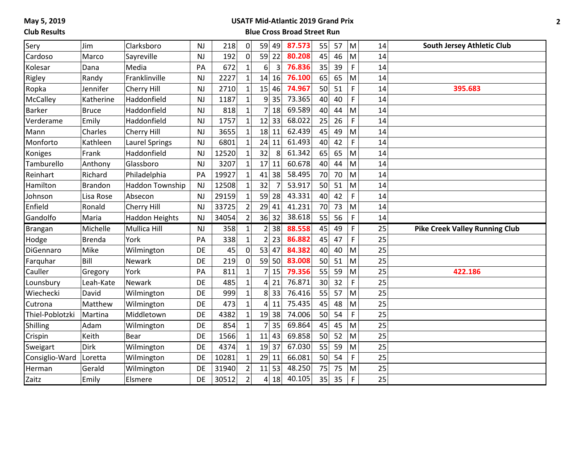#### **USATF Mid-Atlantic 2019 Grand Prix**

| Sery            | Jim            | Clarksboro             | <b>NJ</b> | 218   | 0              | 59             | 49             | 87.573 | 55 | 57 | M  | 14 | <b>South Jersey Athletic Club</b>     |
|-----------------|----------------|------------------------|-----------|-------|----------------|----------------|----------------|--------|----|----|----|----|---------------------------------------|
| Cardoso         | Marco          | Sayreville             | <b>NJ</b> | 192   | $\overline{0}$ | 59             | 22             | 80.208 | 45 | 46 | M  | 14 |                                       |
| Kolesar         | Dana           | Media                  | PA        | 672   | $\mathbf{1}$   | 6              | $\overline{3}$ | 76.836 | 35 | 39 | F. | 14 |                                       |
| Rigley          | Randy          | Franklinville          | <b>NJ</b> | 2227  | $\mathbf{1}$   | 14             | 16             | 76.100 | 65 | 65 | M  | 14 |                                       |
| Ropka           | Jennifer       | Cherry Hill            | <b>NJ</b> | 2710  | $\mathbf{1}$   | 15             | 46             | 74.967 | 50 | 51 | F. | 14 | 395.683                               |
| <b>McCalley</b> | Katherine      | Haddonfield            | <b>NJ</b> | 1187  | $\mathbf{1}$   | $\overline{9}$ | 35             | 73.365 | 40 | 40 | F  | 14 |                                       |
| <b>Barker</b>   | <b>Bruce</b>   | Haddonfield            | <b>NJ</b> | 818   | $\mathbf{1}$   | 7              | 18             | 69.589 | 40 | 44 | M  | 14 |                                       |
| Verderame       | Emily          | Haddonfield            | <b>NJ</b> | 1757  | $\mathbf{1}$   | 12             | 33             | 68.022 | 25 | 26 | F  | 14 |                                       |
| Mann            | Charles        | Cherry Hill            | <b>NJ</b> | 3655  | $\mathbf{1}$   | 18             | 11             | 62.439 | 45 | 49 | M  | 14 |                                       |
| Monforto        | Kathleen       | <b>Laurel Springs</b>  | <b>NJ</b> | 6801  | 1              | 24             | 11             | 61.493 | 40 | 42 | F  | 14 |                                       |
| Koniges         | Frank          | Haddonfield            | <b>NJ</b> | 12520 | $\mathbf{1}$   | 32             | 8              | 61.342 | 65 | 65 | M  | 14 |                                       |
| Tamburello      | Anthony        | Glassboro              | <b>NJ</b> | 3207  | $\mathbf{1}$   | 17             | 11             | 60.678 | 40 | 44 | M  | 14 |                                       |
| Reinhart        | Richard        | Philadelphia           | PA        | 19927 | $\mathbf{1}$   | 41             | 38             | 58.495 | 70 | 70 | M  | 14 |                                       |
| Hamilton        | <b>Brandon</b> | <b>Haddon Township</b> | <b>NJ</b> | 12508 | $\mathbf{1}$   | 32             | $\overline{7}$ | 53.917 | 50 | 51 | M  | 14 |                                       |
| Johnson         | Lisa Rose      | Absecon                | <b>NJ</b> | 29159 | $\mathbf{1}$   | 59             | 28             | 43.331 | 40 | 42 | F  | 14 |                                       |
| Enfield         | Ronald         | Cherry Hill            | <b>NJ</b> | 33725 | 2              | 29             | 41             | 41.231 | 70 | 73 | M  | 14 |                                       |
|                 |                |                        |           |       |                |                |                |        |    |    |    |    |                                       |
| Gandolfo        | Maria          | <b>Haddon Heights</b>  | <b>NJ</b> | 34054 | $\overline{2}$ |                | 36 32          | 38.618 | 55 | 56 | F. | 14 |                                       |
| <b>Brangan</b>  | Michelle       | Mullica Hill           | <b>NJ</b> | 358   | $\mathbf{1}$   | $\overline{2}$ | 38             | 88.558 | 45 | 49 | F. | 25 | <b>Pike Creek Valley Running Club</b> |
| Hodge           | <b>Brenda</b>  | York                   | PA        | 338   | $\mathbf{1}$   | $\overline{2}$ | 23             | 86.882 | 45 | 47 | F  | 25 |                                       |
| DiGennaro       | Mike           | Wilmington             | DE        | 45    | $\overline{0}$ | 53             | 47             | 84.382 | 40 | 40 | M  | 25 |                                       |
| Farquhar        | Bill           | Newark                 | DE        | 219   | 0              | 59             | 50             | 83.008 | 50 | 51 | M  | 25 |                                       |
| Cauller         | Gregory        | York                   | PA        | 811   | 1              | 7              | 15             | 79.356 | 55 | 59 | M  | 25 | 422.186                               |
| Lounsbury       | Leah-Kate      | Newark                 | DE        | 485   | 1              | 4              | 21             | 76.871 | 30 | 32 | F. | 25 |                                       |
| Wiechecki       | David          | Wilmington             | DE        | 999   | $\mathbf{1}$   | 8 <sup>1</sup> | 33             | 76.416 | 55 | 57 | M  | 25 |                                       |
| Cutrona         | Matthew        | Wilmington             | DE        | 473   | $\mathbf{1}$   | 4              | 11             | 75.435 | 45 | 48 | M  | 25 |                                       |
| Thiel-Poblotzki | Martina        | Middletown             | DE        | 4382  | $\mathbf{1}$   | 19             | 38             | 74.006 | 50 | 54 | F  | 25 |                                       |
| Shilling        | Adam           | Wilmington             | DE        | 854   | $\mathbf{1}$   | 7              | 35             | 69.864 | 45 | 45 | M  | 25 |                                       |
| Crispin         | Keith          | Bear                   | DE        | 1566  | $\mathbf{1}$   | 11             | 43             | 69.858 | 50 | 52 | M  | 25 |                                       |
| Sweigart        | Dirk           | Wilmington             | DE        | 4374  | $\mathbf{1}$   | 19             | 37             | 67.030 | 55 | 59 | M  | 25 |                                       |
| Consiglio-Ward  | Loretta        | Wilmington             | DE        | 10281 | $\mathbf{1}$   | 29             | 11             | 66.081 | 50 | 54 | F  | 25 |                                       |
| Herman          | Gerald         | Wilmington             | DE        | 31940 | $\overline{2}$ | 11             | 53             | 48.250 | 75 | 75 | M  | 25 |                                       |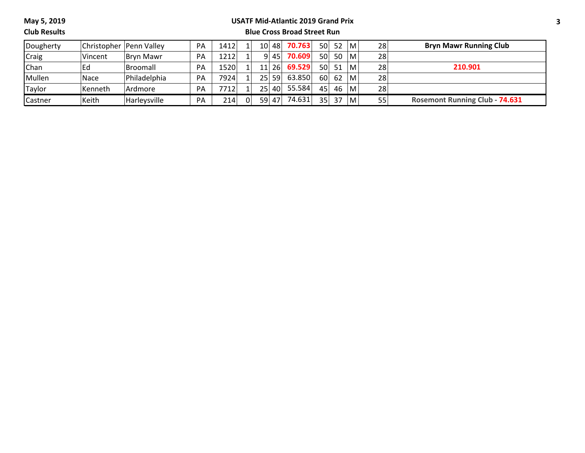#### **USATF Mid-Atlantic 2019 Grand Prix**

**Club Results**

| Dougherty | Christopher   Penn Valley |                 | PA        | 1412              |                |                 | 10 48     | 70.763 |                 | 50 52        | l M | 28 | <b>Bryn Mawr Running Club</b>         |
|-----------|---------------------------|-----------------|-----------|-------------------|----------------|-----------------|-----------|--------|-----------------|--------------|-----|----|---------------------------------------|
| Craig     | Vincent                   | Brvn Mawr       | PA        | 1212 <sub>1</sub> |                |                 | 9 45      | 70.609 | 50              | 50           | l M | 28 |                                       |
| Chan      | l Ed                      | <b>Broomall</b> | PA        | 1520              | 1 <sup>1</sup> |                 | 11 26     | 69.529 |                 | $50 \mid 51$ | M   | 28 | 210.901                               |
| Mullen    | Nace                      | Philadelphia    | PA        | 7924              |                | 251             | <b>59</b> | 63.850 | 60 l            | 62           | M   | 28 |                                       |
| Taylor    | Kenneth                   | Ardmore         | PA        | 7712              |                | 25 <sub>1</sub> | 40        | 55.584 | 45              | 46           | м   | 28 |                                       |
| Castner   | Keith                     | Harleysville    | <b>PA</b> | 214               | 0              | 59              | 47        | 74.631 | 35 <sub>1</sub> | 37           | M   | 55 | <b>Rosemont Running Club - 74.631</b> |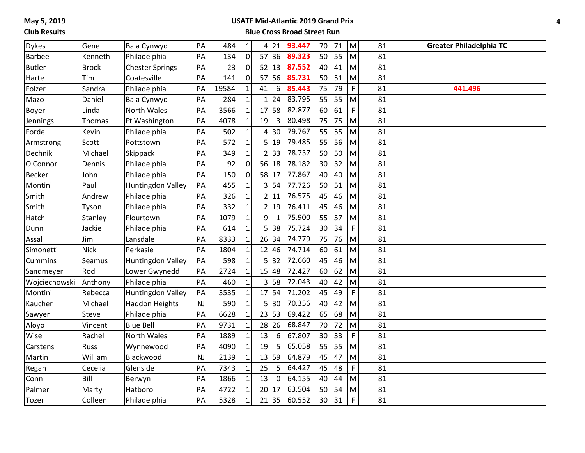#### **Club Results**

#### **USATF Mid-Atlantic 2019 Grand Prix**

| <b>Dykes</b>  | Gene         | Bala Cynwyd            | PA        | 484   | $\mathbf 1$  | 4              | 21             | 93.447 | 70 | 71 | M           | 81 | <b>Greater Philadelphia TC</b> |
|---------------|--------------|------------------------|-----------|-------|--------------|----------------|----------------|--------|----|----|-------------|----|--------------------------------|
| <b>Barbee</b> | Kenneth      | Philadelphia           | PA        | 134   | $\pmb{0}$    | 57             | 36             | 89.323 | 50 | 55 | M           | 81 |                                |
| <b>Butler</b> | <b>Brock</b> | <b>Chester Springs</b> | PA        | 23    | $\mathbf 0$  | 52             | 13             | 87.552 | 40 | 41 | M           | 81 |                                |
| Harte         | Tim          | Coatesville            | PA        | 141   | $\pmb{0}$    | 57             | 56             | 85.731 | 50 | 51 | M           | 81 |                                |
| Folzer        | Sandra       | Philadelphia           | PA        | 19584 | $\mathbf{1}$ | 41             | 6              | 85.443 | 75 | 79 | $\mathsf F$ | 81 | 441.496                        |
| Mazo          | Daniel       | Bala Cynwyd            | PA        | 284   | $\mathbf{1}$ | $\mathbf{1}$   | 24             | 83.795 | 55 | 55 | M           | 81 |                                |
| Boyer         | Linda        | North Wales            | PA        | 3566  | $\mathbf{1}$ | 17             | 58             | 82.877 | 60 | 61 | $\mathsf F$ | 81 |                                |
| Jennings      | Thomas       | Ft Washington          | PA        | 4078  | $\mathbf{1}$ | 19             | $\overline{3}$ | 80.498 | 75 | 75 | M           | 81 |                                |
| Forde         | Kevin        | Philadelphia           | PA        | 502   | $\mathbf{1}$ | 4              | 30             | 79.767 | 55 | 55 | M           | 81 |                                |
| Armstrong     | Scott        | Pottstown              | PA        | 572   | $\mathbf 1$  | 5 <sup>1</sup> | 19             | 79.485 | 55 | 56 | M           | 81 |                                |
| Dechnik       | Michael      | Skippack               | PA        | 349   | $\mathbf{1}$ | 2              | 33             | 78.737 | 50 | 50 | M           | 81 |                                |
| O'Connor      | Dennis       | Philadelphia           | PA        | 92    | $\pmb{0}$    | 56             | 18             | 78.182 | 30 | 32 | M           | 81 |                                |
| <b>Becker</b> | John         | Philadelphia           | PA        | 150   | $\pmb{0}$    |                | 58 17          | 77.867 | 40 | 40 | M           | 81 |                                |
| Montini       | Paul         | Huntingdon Valley      | PA        | 455   | $\mathbf{1}$ | 3 <sup>1</sup> | 54             | 77.726 | 50 | 51 | M           | 81 |                                |
| Smith         | Andrew       | Philadelphia           | PA        | 326   | $\mathbf{1}$ | 2 <sup>1</sup> | 11             | 76.575 | 45 | 46 | M           | 81 |                                |
| Smith         | Tyson        | Philadelphia           | PA        | 332   | $\mathbf{1}$ | $\overline{2}$ | 19             | 76.411 | 45 | 46 | M           | 81 |                                |
| Hatch         | Stanley      | Flourtown              | PA        | 1079  | $\mathbf{1}$ | 9              | $\mathbf{1}$   | 75.900 | 55 | 57 | M           | 81 |                                |
| Dunn          | Jackie       | Philadelphia           | PA        | 614   | $\mathbf{1}$ | 5 <sup>1</sup> | 38             | 75.724 | 30 | 34 | F           | 81 |                                |
| Assal         | Jim          | Lansdale               | PA        | 8333  | $\mathbf{1}$ | 26             | 34             | 74.779 | 75 | 76 | M           | 81 |                                |
| Simonetti     | <b>Nick</b>  | Perkasie               | PA        | 1804  | $\mathbf{1}$ |                | $12$ 46        | 74.714 | 60 | 61 | M           | 81 |                                |
| Cummins       | Seamus       | Huntingdon Valley      | PA        | 598   | $\mathbf{1}$ | 5 <sup>1</sup> | 32             | 72.660 | 45 | 46 | M           | 81 |                                |
| Sandmeyer     | Rod          | Lower Gwynedd          | PA        | 2724  | $\mathbf{1}$ |                | $15$ 48        | 72.427 | 60 | 62 | M           | 81 |                                |
| Wojciechowski | Anthony      | Philadelphia           | PA        | 460   | $\mathbf{1}$ | 3 <sup>1</sup> | 58             | 72.043 | 40 | 42 | M           | 81 |                                |
| Montini       | Rebecca      | Huntingdon Valley      | PA        | 3535  | $\mathbf{1}$ | 17             | 54             | 71.202 | 45 | 49 | $\mathsf F$ | 81 |                                |
| Kaucher       | Michael      | <b>Haddon Heights</b>  | NJ        | 590   | $\mathbf{1}$ |                | 5 30           | 70.356 | 40 | 42 | M           | 81 |                                |
| Sawyer        | Steve        | Philadelphia           | PA        | 6628  | $\mathbf{1}$ | 23             | 53             | 69.422 | 65 | 68 | M           | 81 |                                |
| Aloyo         | Vincent      | <b>Blue Bell</b>       | PA        | 9731  | $\mathbf{1}$ | 28             | 26             | 68.847 | 70 | 72 | M           | 81 |                                |
| Wise          | Rachel       | <b>North Wales</b>     | PA        | 1889  | $\mathbf 1$  | 13             | 6              | 67.807 | 30 | 33 | F           | 81 |                                |
| Carstens      | Russ         | Wynnewood              | PA        | 4090  | $\mathbf{1}$ | 19             | 5              | 65.058 | 55 | 55 | M           | 81 |                                |
| Martin        | William      | Blackwood              | <b>NJ</b> | 2139  | $\mathbf{1}$ |                | 13 59          | 64.879 | 45 | 47 | M           | 81 |                                |
| Regan         | Cecelia      | Glenside               | PA        | 7343  | $\mathbf{1}$ | 25             | 5              | 64.427 | 45 | 48 | F           | 81 |                                |
| Conn          | Bill         | Berwyn                 | PA        | 1866  | $\mathbf{1}$ | 13             | $\Omega$       | 64.155 | 40 | 44 | M           | 81 |                                |
| Palmer        | Marty        | Hatboro                | PA        | 4722  | $\mathbf 1$  | 20             | 17             | 63.504 | 50 | 54 | M           | 81 |                                |
| Tozer         | Colleen      | Philadelphia           | PA        | 5328  | $\mathbf{1}$ | 21             | 35             | 60.552 | 30 | 31 | F           | 81 |                                |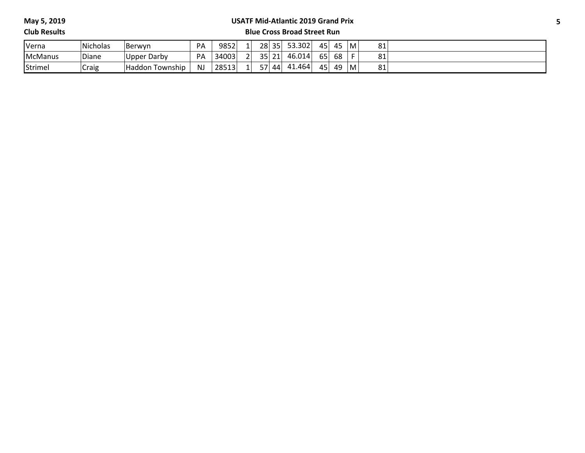#### **USATF Mid-Atlantic 2019 Grand Prix**

**Club Results**

| Verna          | Nicholas | Berwyn             | PA        | 9852  |        | 28               | 35 | 53.302 | 45               | 45<br>τ. | M | 81 |  |
|----------------|----------|--------------------|-----------|-------|--------|------------------|----|--------|------------------|----------|---|----|--|
| <b>McManus</b> | Diane    | Upper Darby        | PA        | 34003 | $\sim$ | 35.<br><b>JJ</b> | 21 | 46.014 | $\sim$ $-$<br>כס | 68       |   | 81 |  |
| Strimel        | Craig    | Township<br>Haddon | <b>NJ</b> | 28513 |        | $-7$             | 44 | 41.464 | 45               | 49<br>г. | M | 81 |  |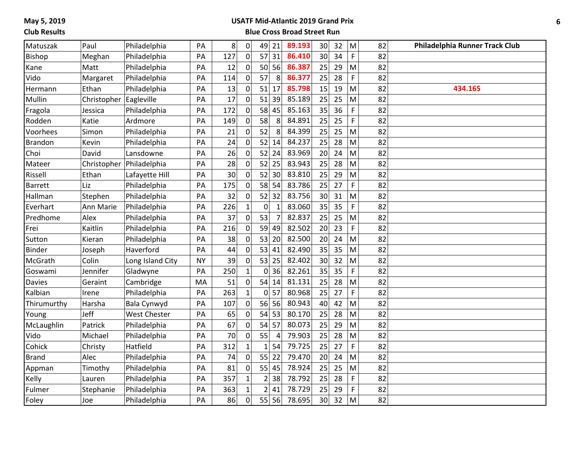#### **USATF Mid-Atlantic 2019 Grand Prix**

| Matuszak       | Paul        | Philadelphia        | PA        | 8 <sup>1</sup> | $\pmb{0}$      | 49             | 21             | 89.193 | 30              | 32 | M           | 82 | Philadelphia Runner Track Club |
|----------------|-------------|---------------------|-----------|----------------|----------------|----------------|----------------|--------|-----------------|----|-------------|----|--------------------------------|
| <b>Bishop</b>  | Meghan      | Philadelphia        | PA        | 127            | $\mathbf 0$    | 57             | 31             | 86.410 | 30 <sup>1</sup> | 34 | $\mathsf F$ | 82 |                                |
| Kane           | Matt        | Philadelphia        | PA        | 12             | 0              |                | 50 56          | 86.387 | 25              | 29 | M           | 82 |                                |
| Vido           | Margaret    | Philadelphia        | PA        | 114            | $\mathbf 0$    | 57             | 8              | 86.377 | 25              | 28 | $\mathsf F$ | 82 |                                |
| Hermann        | Ethan       | Philadelphia        | PA        | 13             | 0              | 51             | 17             | 85.798 | 15              | 19 | M           | 82 | 434.165                        |
| Mullin         | Christopher | Eagleville          | PA        | 17             | $\mathbf 0$    | 51             | 39             | 85.189 | 25              | 25 | M           | 82 |                                |
| Fragola        | Jessica     | Philadelphia        | PA        | 172            | 0              | 58             | 45             | 85.163 | 35              | 36 | $\mathsf F$ | 82 |                                |
| Rodden         | Katie       | Ardmore             | PA        | 149            | 0              | 58             | 8              | 84.891 | 25              | 25 | F           | 82 |                                |
| Voorhees       | Simon       | Philadelphia        | PA        | 21             | $\mathbf 0$    | 52             | 8              | 84.399 | 25              | 25 | M           | 82 |                                |
| <b>Brandon</b> | Kevin       | Philadelphia        | PA        | 24             | $\mathsf{O}$   | 52             | 14             | 84.237 | 25              | 28 | M           | 82 |                                |
| Choi           | David       | Lansdowne           | PA        | 26             | $\pmb{0}$      | 52             | 24             | 83.969 | 20              | 24 | M           | 82 |                                |
| Mateer         | Christopher | Philadelphia        | PA        | 28             | $\pmb{0}$      | 52             | 25             | 83.943 | 25              | 28 | M           | 82 |                                |
| Rissell        | Ethan       | Lafayette Hill      | PA        | 30             | 0              | 52             | 30             | 83.810 | 25              | 29 | M           | 82 |                                |
| <b>Barrett</b> | Liz         | Philadelphia        | PA        | 175            | $\pmb{0}$      | 58             | 54             | 83.786 | 25              | 27 | $\mathsf F$ | 82 |                                |
| Hallman        | Stephen     | Philadelphia        | PA        | 32             | $\mathsf{O}$   | 52             | 32             | 83.756 | 30 <sup>1</sup> | 31 | M           | 82 |                                |
| Everhart       | Ann Marie   | Philadelphia        | PA        | 226            | $\mathbf{1}$   | $\pmb{0}$      | $\mathbf{1}$   | 83.060 | 35              | 35 | $\mathsf F$ | 82 |                                |
| Predhome       | Alex        | Philadelphia        | PA        | 37             | $\overline{0}$ | 53             | $\overline{7}$ | 82.837 | 25              | 25 | M           | 82 |                                |
| Frei           | Kaitlin     | Philadelphia        | PA        | 216            | 0              | 59             | 49             | 82.502 | 20              | 23 | F           | 82 |                                |
| Sutton         | Kieran      | Philadelphia        | PA        | 38             | $\pmb{0}$      | 53             | 20             | 82.500 | 20              | 24 | M           | 82 |                                |
| Binder         | Joseph      | Haverford           | PA        | 44             | $\mathsf{O}$   |                | 53 41          | 82.490 | 35              | 35 | M           | 82 |                                |
| McGrath        | Colin       | Long Island City    | <b>NY</b> | 39             | $\pmb{0}$      | 53             | 25             | 82.402 | 30 <sup>1</sup> | 32 | M           | 82 |                                |
| Goswami        | Jennifer    | Gladwyne            | PA        | 250            | $\mathbf{1}$   | 0              | 36             | 82.261 | 35              | 35 | $\mathsf F$ | 82 |                                |
| <b>Davies</b>  | Geraint     | Cambridge           | MA        | 51             | 0              | 54             | 14             | 81.131 | 25              | 28 | M           | 82 |                                |
| Kalbian        | Irene       | Philadelphia        | PA        | 263            | $\mathbf{1}$   | 0              | 57             | 80.968 | 25              | 27 | $\mathsf F$ | 82 |                                |
| Thirumurthy    | Harsha      | Bala Cynwyd         | PA        | 107            | $\mathsf{O}$   |                | 56 56          | 80.943 | 40              | 42 | M           | 82 |                                |
| Young          | Jeff        | <b>West Chester</b> | PA        | 65             | $\overline{0}$ | 54             | 53             | 80.170 | 25              | 28 | M           | 82 |                                |
| McLaughlin     | Patrick     | Philadelphia        | PA        | 67             | 0              | 54             | 57             | 80.073 | 25              | 29 | M           | 82 |                                |
| Vido           | Michael     | Philadelphia        | PA        | 70             | 0              | 55             | $\overline{4}$ | 79.903 | 25              | 28 | M           | 82 |                                |
| Cohick         | Christy     | Hatfield            | PA        | 312            | $\mathbf{1}$   | $\mathbf{1}$   | 54             | 79.725 | 25              | 27 | $\mathsf F$ | 82 |                                |
| <b>Brand</b>   | Alec        | Philadelphia        | PA        | 74             | $\mathbf 0$    |                | 55 22          | 79.470 | 20              | 24 | M           | 82 |                                |
| Appman         | Timothy     | Philadelphia        | PA        | 81             | $\pmb{0}$      | 55             | 45             | 78.924 | 25              | 25 | M           | 82 |                                |
| Kelly          | Lauren      | Philadelphia        | PA        | 357            | $\mathbf{1}$   | $\overline{2}$ | 38             | 78.792 | 25              | 28 | $\mathsf F$ | 82 |                                |
| Fulmer         | Stephanie   | Philadelphia        | PA        | 363            | $\mathbf{1}$   | $\overline{2}$ | 41             | 78.729 | 25              | 29 | F           | 82 |                                |
| Foley          | Joe         | Philadelphia        | PA        | 86             | $\mathbf 0$    | 55             | 56             | 78.695 | 30 <sup>1</sup> | 32 | M           | 82 |                                |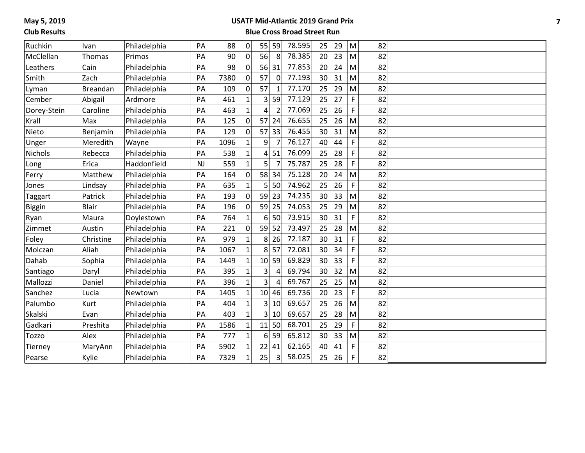#### **USATF Mid-Atlantic 2019 Grand Prix**

| Ruchkin        | Ivan         | Philadelphia | PA        | 88   | 0            | 55              | 59             | 78.595 | 25              | 29 | M | 82 |  |
|----------------|--------------|--------------|-----------|------|--------------|-----------------|----------------|--------|-----------------|----|---|----|--|
| McClellan      | Thomas       | Primos       | PA        | 90   | 0            | 56              | 8              | 78.385 | 20              | 23 | M | 82 |  |
| Leathers       | Cain         | Philadelphia | PA        | 98   | 0l           | 56              | 31             | 77.853 | 20              | 24 | M | 82 |  |
| Smith          | Zach         | Philadelphia | PA        | 7380 | 0            | 57              | $\overline{0}$ | 77.193 | 30              | 31 | M | 82 |  |
| Lyman          | Breandan     | Philadelphia | PA        | 109  | 0            | 57              | 1              | 77.170 | 25              | 29 | M | 82 |  |
| Cember         | Abigail      | Ardmore      | PA        | 461  | $\mathbf{1}$ | 3               | 59             | 77.129 | 25              | 27 | F | 82 |  |
| Dorey-Stein    | Caroline     | Philadelphia | PA        | 463  | $\mathbf{1}$ | 4               |                | 77.069 | 25              | 26 | F | 82 |  |
| Krall          | Max          | Philadelphia | PA        | 125  | 0            | 57              | 24             | 76.655 | 25              | 26 | M | 82 |  |
| Nieto          | Benjamin     | Philadelphia | PA        | 129  | 0l           | 57              | 33             | 76.455 | 30              | 31 | M | 82 |  |
| Unger          | Meredith     | Wayne        | PA        | 1096 | $\mathbf{1}$ | 9               |                | 76.127 | 40              | 44 | F | 82 |  |
| <b>Nichols</b> | Rebecca      | Philadelphia | PA        | 538  | $\mathbf{1}$ | 4               | 51             | 76.099 | 25              | 28 | F | 82 |  |
| Long           | Erica        | Haddonfield  | <b>NJ</b> | 559  | $\mathbf{1}$ | 5               | $\overline{7}$ | 75.787 | 25              | 28 | F | 82 |  |
| Ferry          | Matthew      | Philadelphia | PA        | 164  | 0            | 58              | 34             | 75.128 | 20              | 24 | M | 82 |  |
| Jones          | Lindsay      | Philadelphia | PA        | 635  | $\mathbf{1}$ | 5               | 50             | 74.962 | 25              | 26 | F | 82 |  |
| Taggart        | Patrick      | Philadelphia | PA        | 193  | οl           | 59              | 23             | 74.235 | 30              | 33 | M | 82 |  |
| <b>Biggin</b>  | <b>Blair</b> | Philadelphia | PA        | 196  | 0l           | 59              | 25             | 74.053 | 25              | 29 | M | 82 |  |
| Ryan           | Maura        | Doylestown   | PA        | 764  | $\mathbf{1}$ | 6               | 50             | 73.915 | 30              | 31 | F | 82 |  |
| Zimmet         | Austin       | Philadelphia | PA        | 221  | οl           | 59              | 52             | 73.497 | 25              | 28 | M | 82 |  |
| Foley          | Christine    | Philadelphia | PA        | 979  |              | 8               | 26             | 72.187 | 30              | 31 | F | 82 |  |
| Molczan        | Aliah        | Philadelphia | PA        | 1067 | $\mathbf{1}$ | 8               | 57             | 72.081 | 30              | 34 | F | 82 |  |
| Dahab          | Sophia       | Philadelphia | PA        | 1449 | $\mathbf{1}$ | 10 <sup>1</sup> | 59             | 69.829 | 30 <sup>1</sup> | 33 | F | 82 |  |
| Santiago       | Daryl        | Philadelphia | PA        | 395  |              | 3               |                | 69.794 | 30 <sup>2</sup> | 32 | M | 82 |  |
| Mallozzi       | Daniel       | Philadelphia | PA        | 396  | $\mathbf{1}$ | 3               |                | 69.767 | 25              | 25 | M | 82 |  |
| Sanchez        | Lucia        | Newtown      | PA        | 1405 | $\mathbf{1}$ | 10              | 46             | 69.736 | 20              | 23 | F | 82 |  |
| Palumbo        | Kurt         | Philadelphia | PA        | 404  | $\mathbf{1}$ | 3               | 10             | 69.657 | 25              | 26 | M | 82 |  |
| <b>Skalski</b> | Evan         | Philadelphia | PA        | 403  | $\mathbf{1}$ | 3               | 10             | 69.657 | 25              | 28 | M | 82 |  |
| Gadkari        | Preshita     | Philadelphia | PA        | 1586 | $\mathbf{1}$ | 11              | 50             | 68.701 | 25              | 29 | F | 82 |  |
| <b>Tozzo</b>   | Alex         | Philadelphia | PA        | 777  | $\mathbf{1}$ | $6 \mid$        | 59             | 65.812 | 30              | 33 | M | 82 |  |
| Tierney        | MaryAnn      | Philadelphia | PA        | 5902 | $\mathbf{1}$ | 22              | 41             | 62.165 | 40              | 41 | F | 82 |  |
| Pearse         | Kylie        | Philadelphia | PA        | 7329 |              | 25              | 3              | 58.025 | 25              | 26 | F | 82 |  |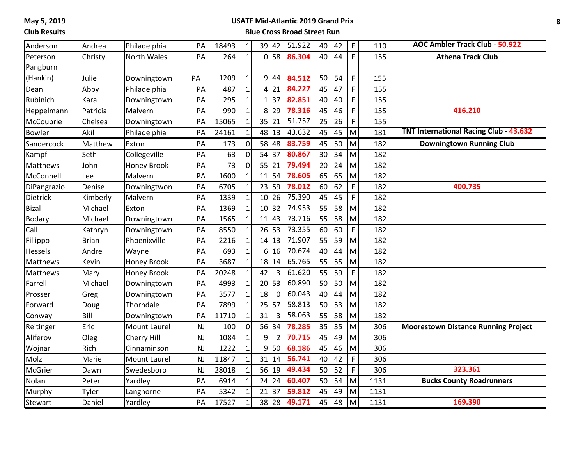# **Club Results**

# **USATF Mid-Atlantic 2019 Grand Prix**

| Anderson      | Andrea       | Philadelphia        | PA        | 18493 | $\mathbf 1$    |                 | 39 42          | 51.922 | 40              | 42 | F           | 110  | <b>AOC Ambler Track Club - 50.922</b>         |
|---------------|--------------|---------------------|-----------|-------|----------------|-----------------|----------------|--------|-----------------|----|-------------|------|-----------------------------------------------|
| Peterson      | Christy      | <b>North Wales</b>  | PA        | 264   | $\mathbf{1}$   |                 | 0 58           | 86.304 | 40              | 44 | F           | 155  | <b>Athena Track Club</b>                      |
| Pangburn      |              |                     |           |       |                |                 |                |        |                 |    |             |      |                                               |
| (Hankin)      | Julie        | Downingtown         | PA        | 1209  | $\mathbf 1$    | 9               | 44             | 84.512 | 50              | 54 | F           | 155  |                                               |
| Dean          | Abby         | Philadelphia        | PA        | 487   | $\overline{1}$ | $\vert$         | 21             | 84.227 | 45              | 47 | F           | 155  |                                               |
| Rubinich      | Kara         | Downingtown         | PA        | 295   | $\mathbf{1}$   | $\mathbf{1}$    | 37             | 82.851 | 40              | 40 | F           | 155  |                                               |
| Heppelmann    | Patricia     | Malvern             | PA        | 990   | $\mathbf{1}$   | 8               | 29             | 78.316 | 45              | 46 | F           | 155  | 416.210                                       |
| McCoubrie     | Chelsea      | Downingtown         | PA        | 15065 | $\mathbf{1}$   | 35              | 21             | 51.757 | 25              | 26 | F           | 155  |                                               |
| <b>Bowler</b> | Akil         | Philadelphia        | PA        | 24161 | $\mathbf 1$    | 48              | 13             | 43.632 | 45              | 45 | M           | 181  | <b>TNT International Racing Club - 43.632</b> |
| Sandercock    | Matthew      | Exton               | PA        | 173   | $\pmb{0}$      |                 | 58 48          | 83.759 | 45              | 50 | M           | 182  | <b>Downingtown Running Club</b>               |
| Kampf         | Seth         | Collegeville        | PA        | 63    | $\mathbf 0$    | 54              | 37             | 80.867 | 30 <sup>1</sup> | 34 | M           | 182  |                                               |
| Matthews      | John         | <b>Honey Brook</b>  | PA        | 73    | $\pmb{0}$      | 55              | 21             | 79.494 | 20              | 24 | M           | 182  |                                               |
| McConnell     | Lee          | Malvern             | PA        | 1600  | $\mathbf{1}$   | 11              | 54             | 78.605 | 65              | 65 | M           | 182  |                                               |
| DiPangrazio   | Denise       | Downingtwon         | PA        | 6705  | $\mathbf{1}$   | 23              | 59             | 78.012 | 60              | 62 | $\mathsf F$ | 182  | 400.735                                       |
| Dietrick      | Kimberly     | Malvern             | PA        | 1339  | $\overline{1}$ | 10 <sup>1</sup> | 26             | 75.390 | 45              | 45 | F           | 182  |                                               |
| <b>Bizal</b>  | Michael      | Exton               | PA        | 1369  | $\mathbf{1}$   |                 | 10 32          | 74.953 | 55              | 58 | M           | 182  |                                               |
| Bodary        | Michael      | Downingtown         | PA        | 1565  | $\mathbf{1}$   | 11              | 43             | 73.716 | 55              | 58 | M           | 182  |                                               |
| Call          | Kathryn      | Downingtown         | PA        | 8550  | $\mathbf 1$    | 26              | 53             | 73.355 | 60              | 60 | F           | 182  |                                               |
| Fillippo      | <b>Brian</b> | Phoenixville        | PA        | 2216  | $\mathbf{1}$   | 14              | 13             | 71.907 | 55              | 59 | M           | 182  |                                               |
| Hessels       | Andre        | Wayne               | PA        | 693   | $\mathbf{1}$   | 6 <sup>1</sup>  | 16             | 70.674 | 40              | 44 | M           | 182  |                                               |
| Matthews      | Kevin        | Honey Brook         | PA        | 3687  | $\mathbf{1}$   | 18              | 14             | 65.765 | 55              | 55 | M           | 182  |                                               |
| Matthews      | Mary         | <b>Honey Brook</b>  | PA        | 20248 | $\mathbf{1}$   | 42              | 3              | 61.620 | 55              | 59 | F           | 182  |                                               |
| Farrell       | Michael      | Downingtown         | PA        | 4993  | $\mathbf{1}$   | 20              | 53             | 60.890 | 50              | 50 | M           | 182  |                                               |
| Prosser       | Greg         | Downingtown         | PA        | 3577  | $\mathbf{1}$   | 18              | $\mathbf 0$    | 60.043 | 40              | 44 | M           | 182  |                                               |
| Forward       | Doug         | Thorndale           | PA        | 7899  | $\mathbf{1}$   | 25              | 57             | 58.813 | 50              | 53 | M           | 182  |                                               |
| Conway        | Bill         | Downingtown         | PA        | 11710 | $\mathbf{1}$   | 31              | $\overline{3}$ | 58.063 | 55              | 58 | M           | 182  |                                               |
| Reitinger     | Eric         | <b>Mount Laurel</b> | <b>NJ</b> | 100   | $\pmb{0}$      | 56              | 34             | 78.285 | 35              | 35 | M           | 306  | <b>Moorestown Distance Running Project</b>    |
| Aliferov      | Oleg         | Cherry Hill         | <b>NJ</b> | 1084  | $\mathbf{1}$   | 9               | $\overline{2}$ | 70.715 | 45              | 49 | M           | 306  |                                               |
| Wojnar        | Rich         | Cinnaminson         | <b>NJ</b> | 1222  | $\mathbf{1}$   | 9               | 50             | 68.186 | 45              | 46 | M           | 306  |                                               |
| Molz          | Marie        | <b>Mount Laurel</b> | <b>NJ</b> | 11847 | $\mathbf{1}$   | 31              | 14             | 56.741 | 40              | 42 | $\mathsf F$ | 306  |                                               |
| McGrier       | Dawn         | Swedesboro          | <b>NJ</b> | 28018 | $\mathbf{1}$   |                 | 56 19          | 49.434 | 50              | 52 | F           | 306  | 323.361                                       |
| Nolan         | Peter        | Yardley             | PA        | 6914  | $\mathbf 1$    | 24              | 24             | 60.407 | 50              | 54 | M           | 1131 | <b>Bucks County Roadrunners</b>               |
| Murphy        | Tyler        | Langhorne           | PA        | 5342  | $\mathbf{1}$   | 21              | 37             | 59.812 | 45              | 49 | M           | 1131 |                                               |
| Stewart       | Daniel       | Yardley             | PA        | 17527 | $\mathbf{1}$   | 38              | 28             | 49.171 | 45              | 48 | M           | 1131 | 169.390                                       |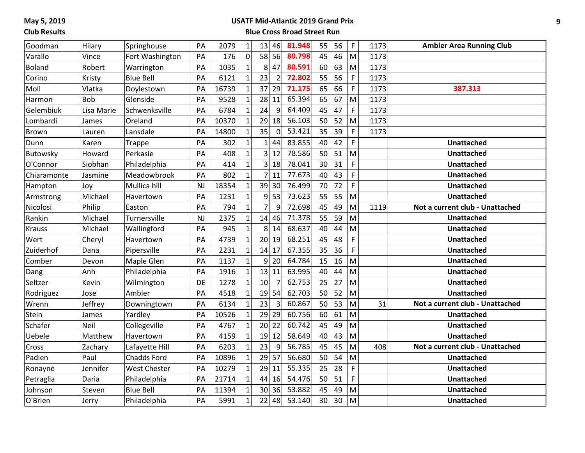# **Club Results**

# **USATF Mid-Atlantic 2019 Grand Prix**

| Goodman       | Hilary     | Springhouse         | PA        | 2079  | $\mathbf{1}$ | 13              | 46             | 81.948 | 55              | 56 | $\mathsf F$ | 1173 | <b>Ambler Area Running Club</b> |
|---------------|------------|---------------------|-----------|-------|--------------|-----------------|----------------|--------|-----------------|----|-------------|------|---------------------------------|
| Varallo       | Vince      | Fort Washington     | PA        | 176   | 0            |                 | 58 56          | 80.798 | 45              | 46 | M           | 1173 |                                 |
| <b>Boland</b> | Robert     | Warrington          | PA        | 1035  | $\mathbf{1}$ | 8               | 47             | 80.591 | 60              | 63 | M           | 1173 |                                 |
| Corino        | Kristy     | <b>Blue Bell</b>    | PA        | 6121  | $\mathbf{1}$ | 23              | $\overline{2}$ | 72.802 | 55              | 56 | F           | 1173 |                                 |
| Moll          | Vlatka     | Doylestown          | PA        | 16739 | $\mathbf{1}$ | 37              | 29             | 71.175 | 65              | 66 | $\mathsf F$ | 1173 | 387.313                         |
| Harmon        | <b>Bob</b> | Glenside            | PA        | 9528  | $\mathbf{1}$ | 28              | 11             | 65.394 | 65              | 67 | M           | 1173 |                                 |
| Gelembiuk     | Lisa Marie | Schwenksville       | PA        | 6784  | $\mathbf{1}$ | 24              | 9              | 64.409 | 45              | 47 | $\mathsf F$ | 1173 |                                 |
| Lombardi      | James      | Oreland             | PA        | 10370 | $\mathbf{1}$ | 29              | 18             | 56.103 | 50              | 52 | M           | 1173 |                                 |
| <b>Brown</b>  | Lauren     | Lansdale            | PA        | 14800 | $\mathbf{1}$ | 35              | $\overline{0}$ | 53.421 | 35              | 39 | F           | 1173 |                                 |
| Dunn          | Karen      | <b>Trappe</b>       | PA        | 302   | $1\vert$     | 1               | 44             | 83.855 | 40              | 42 | F           |      | <b>Unattached</b>               |
| Butowsky      | Howard     | Perkasie            | PA        | 408   | $\mathbf{1}$ | 3               | 12             | 78.586 | 50              | 51 | M           |      | <b>Unattached</b>               |
| O'Connor      | Siobhan    | Philadelphia        | PA        | 414   | $\mathbf{1}$ | $\overline{3}$  | 18             | 78.041 | 30 <sup>1</sup> | 31 | F           |      | Unattached                      |
| Chiaramonte   | Jasmine    | Meadowbrook         | PA        | 802   | $\mathbf{1}$ | 7               | 11             | 77.673 | 40              | 43 | F           |      | <b>Unattached</b>               |
| Hampton       | Joy        | Mullica hill        | <b>NJ</b> | 18354 | $\mathbf{1}$ | 39              | 30             | 76.499 | 70              | 72 | $\mathsf F$ |      | <b>Unattached</b>               |
| Armstrong     | Michael    | Havertown           | PA        | 1231  | $\mathbf{1}$ |                 | 9 53           | 73.623 | 55              | 55 | M           |      | <b>Unattached</b>               |
| Nicolosi      | Philip     | Easton              | PA        | 794   | $\mathbf{1}$ | $\overline{7}$  | 9              | 72.698 | 45              | 49 | M           | 1119 | Not a current club - Unattached |
| Rankin        | Michael    | Turnersville        | <b>NJ</b> | 2375  | $\mathbf{1}$ | 14              | 46             | 71.378 | 55              | 59 | M           |      | <b>Unattached</b>               |
| <b>Krauss</b> | Michael    | Wallingford         | PA        | 945   | $\mathbf{1}$ | 8               | 14             | 68.637 | 40              | 44 | M           |      | <b>Unattached</b>               |
| Wert          | Cheryl     | Havertown           | PA        | 4739  | $\mathbf{1}$ | 20              | 19             | 68.251 | 45              | 48 | F           |      | <b>Unattached</b>               |
| Zuiderhof     | Dana       | Pipersville         | PA        | 2231  | $\mathbf{1}$ | 14              | 17             | 67.355 | 35              | 36 | F           |      | <b>Unattached</b>               |
| Comber        | Devon      | Maple Glen          | PA        | 1137  | $\mathbf{1}$ | $\overline{9}$  | 20             | 64.784 | 15              | 16 | M           |      | <b>Unattached</b>               |
| Dang          | Anh        | Philadelphia        | PA        | 1916  | $\mathbf{1}$ | 13              | 11             | 63.995 | 40              | 44 | M           |      | <b>Unattached</b>               |
| Seltzer       | Kevin      | Wilmington          | DE        | 1278  | $\mathbf{1}$ | 10              | $\overline{7}$ | 62.753 | 25              | 27 | M           |      | <b>Unattached</b>               |
| Rodriguez     | Jose       | Ambler              | PA        | 4518  | $\mathbf{1}$ | 19              | 54             | 62.703 | 50              | 52 | M           |      | <b>Unattached</b>               |
| Wrenn         | Jeffrey    | Downingtown         | PA        | 6134  | $\mathbf{1}$ | 23              | $\overline{3}$ | 60.867 | 50              | 53 | M           | 31   | Not a current club - Unattached |
| Stein         | James      | Yardley             | PA        | 10526 | $\mathbf{1}$ | 29              | 29             | 60.756 | 60              | 61 | M           |      | <b>Unattached</b>               |
| Schafer       | Neil       | Collegeville        | PA        | 4767  | $\mathbf{1}$ | 20              | 22             | 60.742 | 45              | 49 | M           |      | <b>Unattached</b>               |
| Uebele        | Matthew    | Havertown           | PA        | 4159  | $\mathbf{1}$ | 19              | 12             | 58.649 | 40              | 43 | M           |      | <b>Unattached</b>               |
| Cross         | Zachary    | Lafayette Hill      | PA        | 6203  | $\mathbf{1}$ | 23              | 9              | 56.785 | 45              | 45 | M           | 408  | Not a current club - Unattached |
| Padien        | Paul       | <b>Chadds Ford</b>  | PA        | 10896 | $\mathbf{1}$ | 29              | 57             | 56.680 | 50              | 54 | M           |      | <b>Unattached</b>               |
| Ronayne       | Jennifer   | <b>West Chester</b> | PA        | 10279 | $\mathbf{1}$ | 29              | 11             | 55.335 | 25              | 28 | F           |      | <b>Unattached</b>               |
| Petraglia     | Daria      | Philadelphia        | PA        | 21714 | $\mathbf{1}$ | 44              | 16             | 54.476 | 50              | 51 | $\mathsf F$ |      | <b>Unattached</b>               |
| Johnson       | Steven     | <b>Blue Bell</b>    | PA        | 11394 | $\mathbf{1}$ | 30 <sup>2</sup> | 36             | 53.882 | 45              | 49 | M           |      | <b>Unattached</b>               |
| O'Brien       | Jerry      | Philadelphia        | PA        | 5991  | $\mathbf{1}$ | 22              | 48             | 53.140 | 30              | 30 | M           |      | <b>Unattached</b>               |